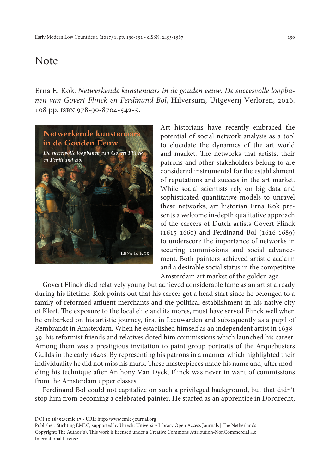## Note

Erna E. Kok. *Netwerkende kunstenaars in de gouden eeuw. De succesvolle loopbanen van Govert Flinck en Ferdinand Bol*, Hilversum, Uitgeverij Verloren, 2016. 108 pp. isbn 978-90-8704-542-5.



Art historians have recently embraced the potential of social network analysis as a tool to elucidate the dynamics of the art world and market. The networks that artists, their patrons and other stakeholders belong to are considered instrumental for the establishment of reputations and success in the art market. While social scientists rely on big data and sophisticated quantitative models to unravel these networks, art historian Erna Kok presents a welcome in-depth qualitative approach of the careers of Dutch artists Govert Flinck (1615-1660) and Ferdinand Bol (1616-1689) to underscore the importance of networks in securing commissions and social advancement. Both painters achieved artistic acclaim and a desirable social status in the competitive Amsterdam art market of the golden age.

Govert Flinck died relatively young but achieved considerable fame as an artist already during his lifetime. Kok points out that his career got a head start since he belonged to a family of reformed affluent merchants and the political establishment in his native city of Kleef. The exposure to the local elite and its mores, must have served Flinck well when he embarked on his artistic journey, first in Leeuwarden and subsequently as a pupil of Rembrandt in Amsterdam. When he established himself as an independent artist in 1638- 39, his reformist friends and relatives doted him commissions which launched his career. Among them was a prestigious invitation to paint group portraits of the Arquebusiers Guilds in the early 1640s. By representing his patrons in a manner which highlighted their individuality he did not miss his mark. These masterpieces made his name and, after modeling his technique after Anthony Van Dyck, Flinck was never in want of commissions from the Amsterdam upper classes.

Ferdinand Bol could not capitalize on such a privileged background, but that didn't stop him from becoming a celebrated painter. He started as an apprentice in Dordrecht,

DOI 10.18352/emlc.17 - URL:<http://www.emlc-journal.org>

Publisher: Stichting EMLC, supported by Utrecht University Library Open Access Journals | The Netherlands Copyright: The Author(s). This work is licensed under a Creative Commons Attribution-NonCommercial 4.0 International License.